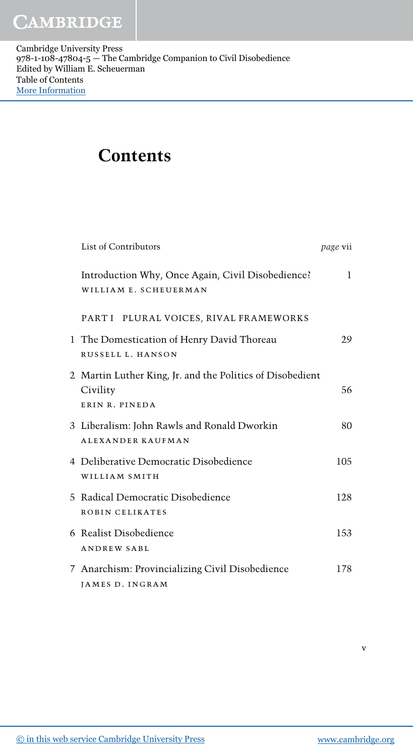Cambridge University Press 978-1-108-47804-5 — The Cambridge Companion to Civil Disobedience Edited by William E. Scheuerman Table of Contents [More Information](www.cambridge.org/9781108478045)

## Contents

| List of Contributors                                                                    | <i>page</i> vii |
|-----------------------------------------------------------------------------------------|-----------------|
| Introduction Why, Once Again, Civil Disobedience?<br>WILLIAM E. SCHEUERMAN              | $\mathbf{1}$    |
| PART I PLURAL VOICES, RIVAL FRAMEWORKS                                                  |                 |
| 1 The Domestication of Henry David Thoreau<br>RUSSELL L. HANSON                         | 29              |
| 2 Martin Luther King, Jr. and the Politics of Disobedient<br>Civility<br>ERIN R. PINEDA | 56              |
| 3 Liberalism: John Rawls and Ronald Dworkin<br><b>ALEXANDER KAUFMAN</b>                 | 80              |
| 4 Deliberative Democratic Disobedience<br>WILLIAM SMITH                                 | 105             |
| 5 Radical Democratic Disobedience<br>ROBIN CELIKATES                                    | 128             |
| 6 Realist Disobedience<br><b>ANDREW SABL</b>                                            | 153             |
| 7 Anarchism: Provincializing Civil Disobedience<br>JAMES D. INGRAM                      | 178             |

v